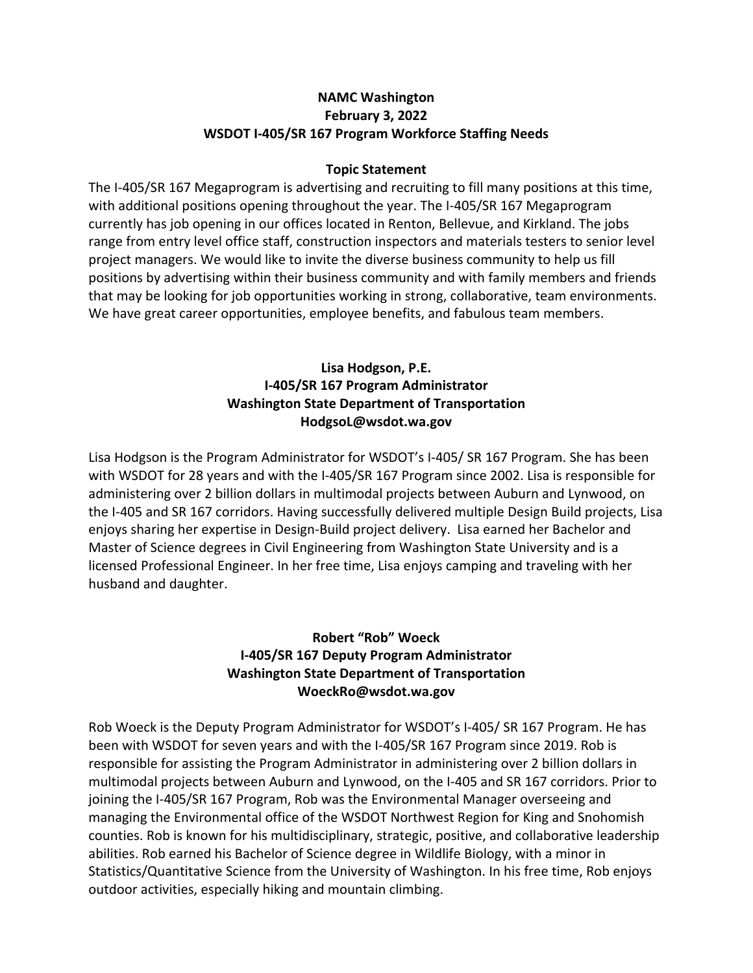#### **NAMC Washington February 3, 2022 WSDOT I‐405/SR 167 Program Workforce Staffing Needs**

#### **Topic Statement**

The I‐405/SR 167 Megaprogram is advertising and recruiting to fill many positions at this time, with additional positions opening throughout the year. The I-405/SR 167 Megaprogram currently has job opening in our offices located in Renton, Bellevue, and Kirkland. The jobs range from entry level office staff, construction inspectors and materials testers to senior level project managers. We would like to invite the diverse business community to help us fill positions by advertising within their business community and with family members and friends that may be looking for job opportunities working in strong, collaborative, team environments. We have great career opportunities, employee benefits, and fabulous team members.

### **Lisa Hodgson, P.E. I‐405/SR 167 Program Administrator Washington State Department of Transportation HodgsoL@wsdot.wa.gov**

Lisa Hodgson is the Program Administrator for WSDOT's I‐405/ SR 167 Program. She has been with WSDOT for 28 years and with the I-405/SR 167 Program since 2002. Lisa is responsible for administering over 2 billion dollars in multimodal projects between Auburn and Lynwood, on the I‐405 and SR 167 corridors. Having successfully delivered multiple Design Build projects, Lisa enjoys sharing her expertise in Design‐Build project delivery. Lisa earned her Bachelor and Master of Science degrees in Civil Engineering from Washington State University and is a licensed Professional Engineer. In her free time, Lisa enjoys camping and traveling with her husband and daughter.

### **Robert "Rob" Woeck I‐405/SR 167 Deputy Program Administrator Washington State Department of Transportation WoeckRo@wsdot.wa.gov**

Rob Woeck is the Deputy Program Administrator for WSDOT's I‐405/ SR 167 Program. He has been with WSDOT for seven years and with the I‐405/SR 167 Program since 2019. Rob is responsible for assisting the Program Administrator in administering over 2 billion dollars in multimodal projects between Auburn and Lynwood, on the I‐405 and SR 167 corridors. Prior to joining the I‐405/SR 167 Program, Rob was the Environmental Manager overseeing and managing the Environmental office of the WSDOT Northwest Region for King and Snohomish counties. Rob is known for his multidisciplinary, strategic, positive, and collaborative leadership abilities. Rob earned his Bachelor of Science degree in Wildlife Biology, with a minor in Statistics/Quantitative Science from the University of Washington. In his free time, Rob enjoys outdoor activities, especially hiking and mountain climbing.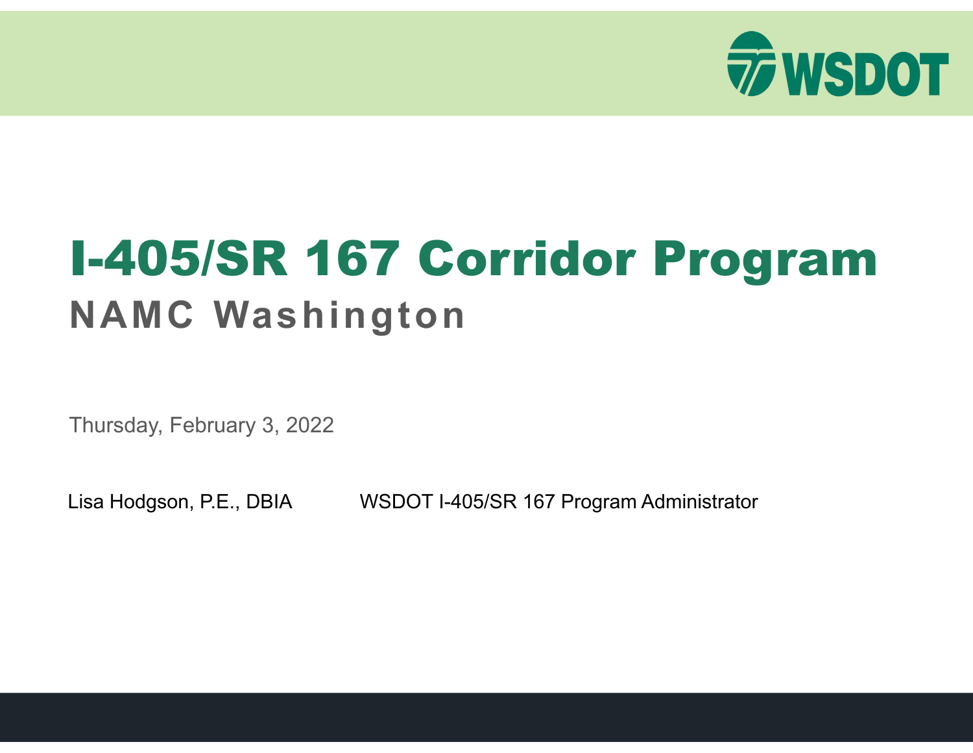

## I-405/SR 167 Corridor Program **NAMC Washington**

Thursday, February 3, 2022

Lisa Hodgson, P.E., DBIA WSDOT I-405/SR 167 Program Administrator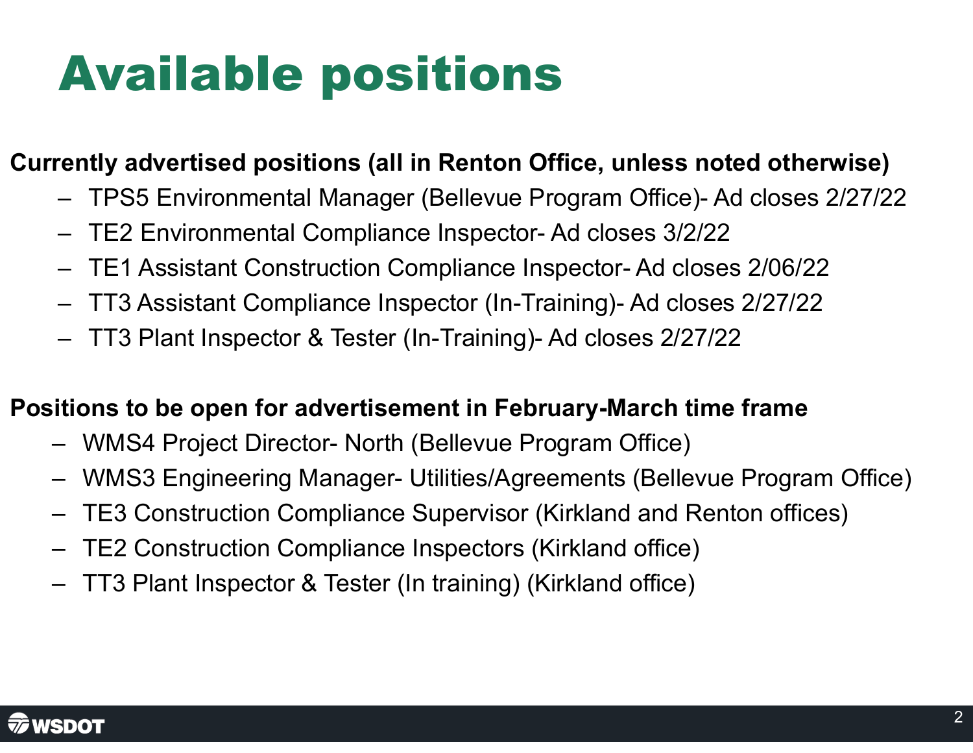# Available positions

## **Currently advertised positions (all in Renton Office, unless noted otherwise)**

- –TPS5 Environmental Manager (Bellevue Program Office)- Ad closes 2/27/22
- –TE2 Environmental Compliance Inspector- Ad closes 3/2/22
- –TE1 Assistant Construction Compliance Inspector- Ad closes 2/06/22
- –TT3 Assistant Compliance Inspector (In-Training)- Ad closes 2/27/22
- –TT3 Plant Inspector & Tester (In-Training)- Ad closes 2/27/22

### **Positions to be open for advertisement in February-March time frame**

- WMS4 Project Director- North (Bellevue Program Office)
- WMS3 Engineering Manager- Utilities/Agreements (Bellevue Program Office)
- TE3 Construction Compliance Supervisor (Kirkland and Renton offices)
- TE2 Construction Compliance Inspectors (Kirkland office)
- TT3 Plant Inspector & Tester (In training) (Kirkland office)

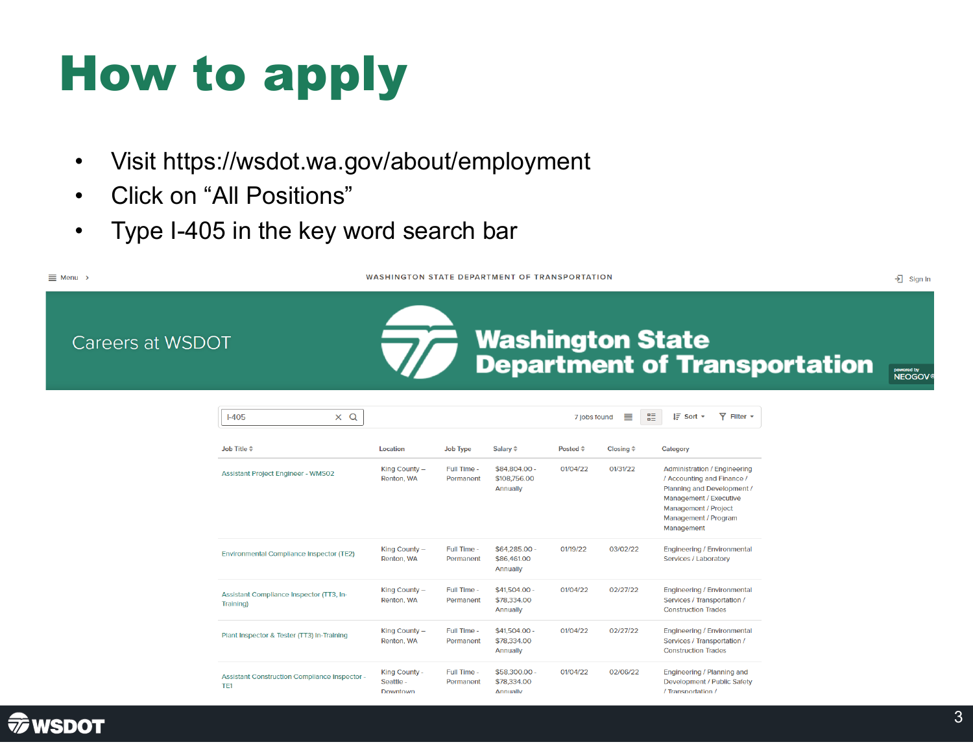# How to apply

- $\bullet$ Visit https://wsdot.wa.gov/about/employment
- $\bullet$ Click on "All Positions"
- $\bullet$ Type I-405 in the key word search bar

WASHINGTON STATE DEPARTMENT OF TRANSPORTATION

**Washington State<br>Department of Transportation** 

→ Sign In

powered by<br>NEOGOV

Careers at WSDOT

 $\equiv$  Menu >

| $I-405$<br>$\alpha$<br>$\times$                                         |                                        |                          |                                           | 7 jobs found       | 噩<br>≣                    | $\overline{Y}$ Filter $\overline{Y}$<br>$I\bar{F}$ Sort $\tau$                                                                                                                          |
|-------------------------------------------------------------------------|----------------------------------------|--------------------------|-------------------------------------------|--------------------|---------------------------|-----------------------------------------------------------------------------------------------------------------------------------------------------------------------------------------|
| Job Title $\hat{=}$                                                     | Location                               | <b>Job Type</b>          | Salary $\Leftrightarrow$                  | Posted $\triangle$ | Closing $\Leftrightarrow$ | Category                                                                                                                                                                                |
| <b>Assistant Project Engineer - WMS02</b>                               | King County -<br>Renton, WA            | Full Time -<br>Permanent | \$84,804.00 -<br>\$108,756,00<br>Annually | 01/04/22           | 01/31/22                  | <b>Administration / Engineering</b><br>/ Accounting and Finance /<br>Planning and Development /<br>Management / Executive<br>Management / Project<br>Management / Program<br>Management |
| <b>Environmental Compliance Inspector (TE2)</b>                         | King County $-$<br>Renton, WA          | Full Time -<br>Permanent | $$64,285.00 -$<br>\$86,461.00<br>Annually | 01/19/22           | 03/02/22                  | <b>Engineering / Environmental</b><br>Services / Laboratory                                                                                                                             |
| Assistant Compliance Inspector (TT3, In-<br>Training)                   | King County -<br>Renton, WA            | Full Time -<br>Permanent | $$41.504.00 -$<br>\$78,334.00<br>Annually | 01/04/22           | 02/27/22                  | <b>Engineering / Environmental</b><br>Services / Transportation /<br><b>Construction Trades</b>                                                                                         |
| Plant Inspector & Tester (TT3) In-Training                              | King County -<br>Renton, WA            | Full Time -<br>Permanent | \$41,504.00 -<br>\$78,334.00<br>Annually  | 01/04/22           | 02/27/22                  | <b>Engineering / Environmental</b><br>Services / Transportation /<br><b>Construction Trades</b>                                                                                         |
| <b>Assistant Construction Compliance Inspector -</b><br>TF <sub>1</sub> | King County -<br>Seattle -<br>Downtown | Full Time -<br>Permanent | \$58,300.00 -<br>\$78,334.00<br>Annually  | 01/04/22           | 02/06/22                  | Engineering / Planning and<br>Development / Public Safety<br>/ Transportation /                                                                                                         |